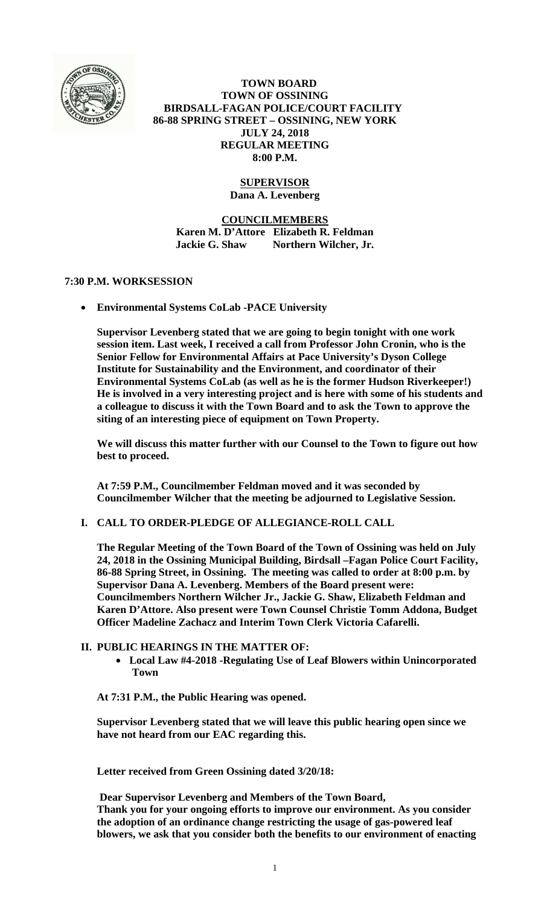

 **TOWN BOARD TOWN OF OSSINING BIRDSALL-FAGAN POLICE/COURT FACILITY 86-88 SPRING STREET – OSSINING, NEW YORK JULY 24, 2018 REGULAR MEETING 8:00 P.M.** 

## **SUPERVISOR**

**Dana A. Levenberg** 

**COUNCILMEMBERS Karen M. D'Attore Elizabeth R. Feldman Jackie G. Shaw Northern Wilcher, Jr.** 

## **7:30 P.M. WORKSESSION**

**Environmental Systems CoLab -PACE University** 

**Supervisor Levenberg stated that we are going to begin tonight with one work session item. Last week, I received a call from Professor John Cronin, who is the Senior Fellow for Environmental Affairs at Pace University's Dyson College Institute for Sustainability and the Environment, and coordinator of their Environmental Systems CoLab (as well as he is the former Hudson Riverkeeper!) He is involved in a very interesting project and is here with some of his students and a colleague to discuss it with the Town Board and to ask the Town to approve the siting of an interesting piece of equipment on Town Property.** 

**We will discuss this matter further with our Counsel to the Town to figure out how best to proceed.** 

**At 7:59 P.M., Councilmember Feldman moved and it was seconded by Councilmember Wilcher that the meeting be adjourned to Legislative Session.** 

**I. CALL TO ORDER-PLEDGE OF ALLEGIANCE-ROLL CALL** 

**The Regular Meeting of the Town Board of the Town of Ossining was held on July 24, 2018 in the Ossining Municipal Building, Birdsall –Fagan Police Court Facility, 86-88 Spring Street, in Ossining. The meeting was called to order at 8:00 p.m. by Supervisor Dana A. Levenberg. Members of the Board present were: Councilmembers Northern Wilcher Jr., Jackie G. Shaw, Elizabeth Feldman and Karen D'Attore. Also present were Town Counsel Christie Tomm Addona, Budget Officer Madeline Zachacz and Interim Town Clerk Victoria Cafarelli.** 

## **II. PUBLIC HEARINGS IN THE MATTER OF:**

 **Local Law #4-2018 -Regulating Use of Leaf Blowers within Unincorporated Town** 

**At 7:31 P.M., the Public Hearing was opened.** 

**Supervisor Levenberg stated that we will leave this public hearing open since we have not heard from our EAC regarding this.** 

**Letter received from Green Ossining dated 3/20/18:** 

 **Dear Supervisor Levenberg and Members of the Town Board, Thank you for your ongoing efforts to improve our environment. As you consider the adoption of an ordinance change restricting the usage of gas-powered leaf blowers, we ask that you consider both the benefits to our environment of enacting**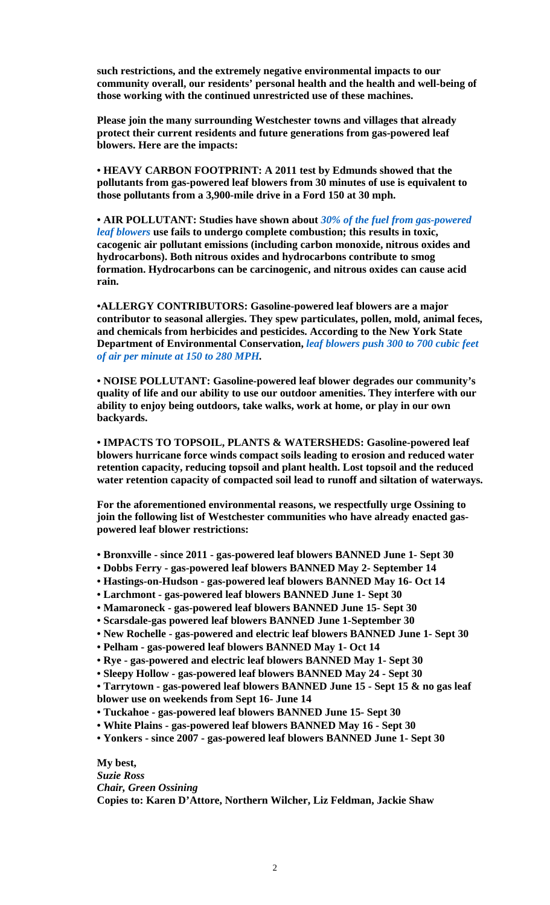**such restrictions, and the extremely negative environmental impacts to our community overall, our residents' personal health and the health and well-being of those working with the continued unrestricted use of these machines.** 

**Please join the many surrounding Westchester towns and villages that already protect their current residents and future generations from gas-powered leaf blowers. Here are the impacts:** 

**• HEAVY CARBON FOOTPRINT: A 2011 test by Edmunds showed that the pollutants from gas-powered leaf blowers from 30 minutes of use is equivalent to those pollutants from a 3,900-mile drive in a Ford 150 at 30 mph.** 

**• AIR POLLUTANT: Studies have shown about** *30% of the fuel from gas-powered leaf blowers* **use fails to undergo complete combustion; this results in toxic, cacogenic air pollutant emissions (including carbon monoxide, nitrous oxides and hydrocarbons). Both nitrous oxides and hydrocarbons contribute to smog formation. Hydrocarbons can be carcinogenic, and nitrous oxides can cause acid rain.** 

**•ALLERGY CONTRIBUTORS: Gasoline-powered leaf blowers are a major contributor to seasonal allergies. They spew particulates, pollen, mold, animal feces, and chemicals from herbicides and pesticides. According to the New York State Department of Environmental Conservation,** *leaf blowers push 300 to 700 cubic feet of air per minute at 150 to 280 MPH.* 

**• NOISE POLLUTANT: Gasoline-powered leaf blower degrades our community's quality of life and our ability to use our outdoor amenities. They interfere with our ability to enjoy being outdoors, take walks, work at home, or play in our own backyards.** 

**• IMPACTS TO TOPSOIL, PLANTS & WATERSHEDS: Gasoline-powered leaf blowers hurricane force winds compact soils leading to erosion and reduced water retention capacity, reducing topsoil and plant health. Lost topsoil and the reduced water retention capacity of compacted soil lead to runoff and siltation of waterways.** 

**For the aforementioned environmental reasons, we respectfully urge Ossining to join the following list of Westchester communities who have already enacted gaspowered leaf blower restrictions:** 

- **Bronxville since 2011 gas-powered leaf blowers BANNED June 1- Sept 30**
- **Dobbs Ferry gas-powered leaf blowers BANNED May 2- September 14**
- **Hastings-on-Hudson gas-powered leaf blowers BANNED May 16- Oct 14**
- **Larchmont gas-powered leaf blowers BANNED June 1- Sept 30**
- **Mamaroneck gas-powered leaf blowers BANNED June 15- Sept 30**
- **Scarsdale-gas powered leaf blowers BANNED June 1-September 30**
- **New Rochelle gas-powered and electric leaf blowers BANNED June 1- Sept 30**
- **Pelham gas-powered leaf blowers BANNED May 1- Oct 14**
- **Rye gas-powered and electric leaf blowers BANNED May 1- Sept 30**
- **Sleepy Hollow gas-powered leaf blowers BANNED May 24 Sept 30**

**• Tarrytown - gas-powered leaf blowers BANNED June 15 - Sept 15 & no gas leaf** 

- **blower use on weekends from Sept 16- June 14**
- **Tuckahoe gas-powered leaf blowers BANNED June 15- Sept 30**
- **White Plains gas-powered leaf blowers BANNED May 16 Sept 30**

**• Yonkers - since 2007 - gas-powered leaf blowers BANNED June 1- Sept 30** 

**My best,**  *Suzie Ross Chair, Green Ossining*  **Copies to: Karen D'Attore, Northern Wilcher, Liz Feldman, Jackie Shaw**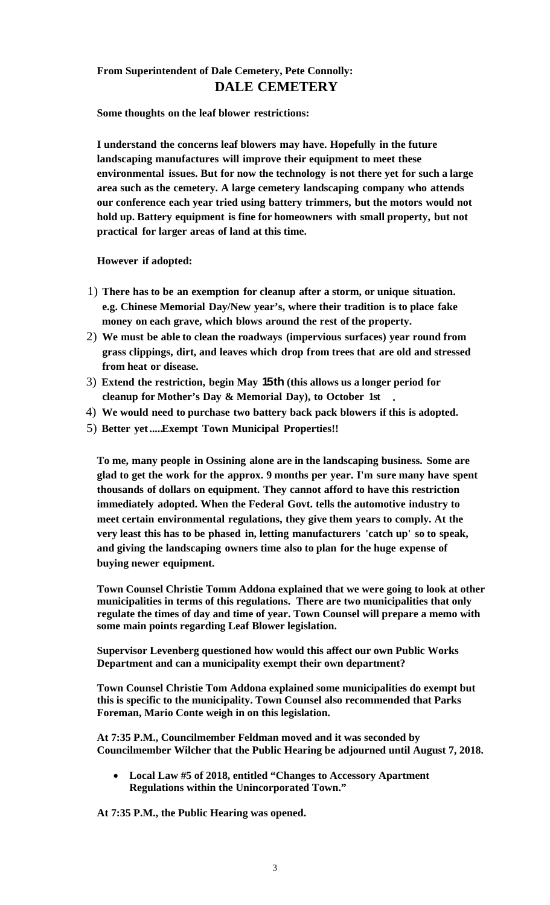# **From Superintendent of Dale Cemetery, Pete Connolly: DALE CEMETERY**

**Some thoughts on the leaf blower restrictions:** 

**I understand the concerns leaf blowers may have. Hopefully in the future landscaping manufactures will improve their equipment to meet these environmental issues. But for now the technology is not there yet for such a large area such as the cemetery. A large cemetery landscaping company who attends our conference each year tried using battery trimmers, but the motors would not hold up. Battery equipment is fine for homeowners with small property, but not practical for larger areas of land at this time.**

**However if adopted:** 

- 1) **There has to be an exemption for cleanup after a storm, or unique situation. e.g. Chinese Memorial Day/New year's, where their tradition is to place fake money on each grave, which blows around the rest of the property.**
- 2) **We must be able to clean the roadways (impervious surfaces) year round from grass clippings, dirt, and leaves which drop from trees that are old and stressed from heat or disease.**
- **•** 3) **Extend the restriction, begin May 15th (this allows us a longer period for cleanup for Mother's Day & Memorial Day), to October 1st**
- 4) **We would need to purchase two battery back pack blowers if this is adopted.**
- 5) **Better yet .....Exempt Town Municipal Properties!!**

**To me, many people in Ossining alone are in the landscaping business. Some are glad to get the work for the approx. 9 months per year. I'm sure many have spent thousands of dollars on equipment. They cannot afford to have this restriction immediately adopted. When the Federal Govt. tells the automotive industry to meet certain environmental regulations, they give them years to comply. At the very least this has to be phased in, letting manufacturers 'catch up' so to speak, and giving the landscaping owners time also to plan for the huge expense of buying newer equipment.** 

**Town Counsel Christie Tomm Addona explained that we were going to look at other municipalities in terms of this regulations. There are two municipalities that only regulate the times of day and time of year. Town Counsel will prepare a memo with some main points regarding Leaf Blower legislation.** 

**Supervisor Levenberg questioned how would this affect our own Public Works Department and can a municipality exempt their own department?** 

**Town Counsel Christie Tom Addona explained some municipalities do exempt but this is specific to the municipality. Town Counsel also recommended that Parks Foreman, Mario Conte weigh in on this legislation.** 

**At 7:35 P.M., Councilmember Feldman moved and it was seconded by Councilmember Wilcher that the Public Hearing be adjourned until August 7, 2018.** 

 **Local Law #5 of 2018, entitled "Changes to Accessory Apartment Regulations within the Unincorporated Town."**

**At 7:35 P.M., the Public Hearing was opened.**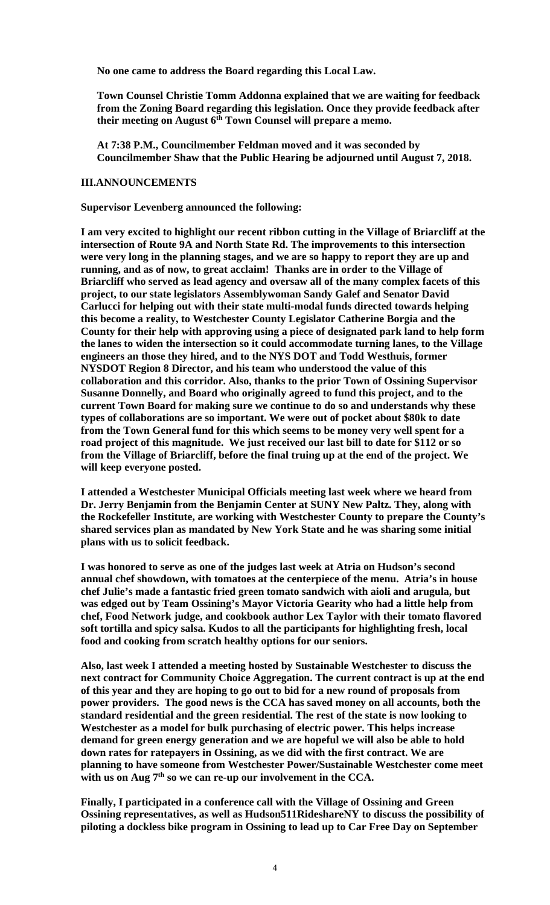**No one came to address the Board regarding this Local Law.** 

**Town Counsel Christie Tomm Addonna explained that we are waiting for feedback from the Zoning Board regarding this legislation. Once they provide feedback after**  their meeting on August 6<sup>th</sup> Town Counsel will prepare a memo.

**At 7:38 P.M., Councilmember Feldman moved and it was seconded by Councilmember Shaw that the Public Hearing be adjourned until August 7, 2018.** 

#### **III.ANNOUNCEMENTS**

**Supervisor Levenberg announced the following:** 

**I am very excited to highlight our recent ribbon cutting in the Village of Briarcliff at the intersection of Route 9A and North State Rd. The improvements to this intersection were very long in the planning stages, and we are so happy to report they are up and running, and as of now, to great acclaim! Thanks are in order to the Village of Briarcliff who served as lead agency and oversaw all of the many complex facets of this project, to our state legislators Assemblywoman Sandy Galef and Senator David Carlucci for helping out with their state multi-modal funds directed towards helping this become a reality, to Westchester County Legislator Catherine Borgia and the County for their help with approving using a piece of designated park land to help form the lanes to widen the intersection so it could accommodate turning lanes, to the Village engineers an those they hired, and to the NYS DOT and Todd Westhuis, former NYSDOT Region 8 Director, and his team who understood the value of this collaboration and this corridor. Also, thanks to the prior Town of Ossining Supervisor Susanne Donnelly, and Board who originally agreed to fund this project, and to the current Town Board for making sure we continue to do so and understands why these types of collaborations are so important. We were out of pocket about \$80k to date from the Town General fund for this which seems to be money very well spent for a road project of this magnitude. We just received our last bill to date for \$112 or so from the Village of Briarcliff, before the final truing up at the end of the project. We will keep everyone posted.** 

**I attended a Westchester Municipal Officials meeting last week where we heard from Dr. Jerry Benjamin from the Benjamin Center at SUNY New Paltz. They, along with the Rockefeller Institute, are working with Westchester County to prepare the County's shared services plan as mandated by New York State and he was sharing some initial plans with us to solicit feedback.** 

**I was honored to serve as one of the judges last week at Atria on Hudson's second annual chef showdown, with tomatoes at the centerpiece of the menu. Atria's in house chef Julie's made a fantastic fried green tomato sandwich with aioli and arugula, but was edged out by Team Ossining's Mayor Victoria Gearity who had a little help from chef, Food Network judge, and cookbook author Lex Taylor with their tomato flavored soft tortilla and spicy salsa. Kudos to all the participants for highlighting fresh, local food and cooking from scratch healthy options for our seniors.** 

**Also, last week I attended a meeting hosted by Sustainable Westchester to discuss the next contract for Community Choice Aggregation. The current contract is up at the end of this year and they are hoping to go out to bid for a new round of proposals from power providers. The good news is the CCA has saved money on all accounts, both the standard residential and the green residential. The rest of the state is now looking to Westchester as a model for bulk purchasing of electric power. This helps increase demand for green energy generation and we are hopeful we will also be able to hold down rates for ratepayers in Ossining, as we did with the first contract. We are planning to have someone from Westchester Power/Sustainable Westchester come meet**  with us on Aug 7<sup>th</sup> so we can re-up our involvement in the CCA.

**Finally, I participated in a conference call with the Village of Ossining and Green Ossining representatives, as well as Hudson511RideshareNY to discuss the possibility of piloting a dockless bike program in Ossining to lead up to Car Free Day on September**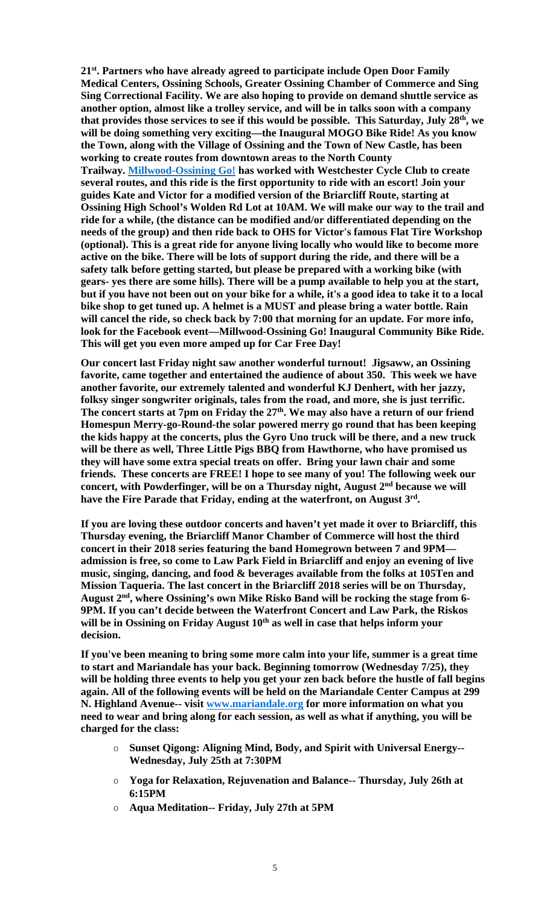**21st. Partners who have already agreed to participate include Open Door Family Medical Centers, Ossining Schools, Greater Ossining Chamber of Commerce and Sing Sing Correctional Facility. We are also hoping to provide on demand shuttle service as another option, almost like a trolley service, and will be in talks soon with a company that provides those services to see if this would be possible. This Saturday, July 28th, we will be doing something very exciting—the Inaugural MOGO Bike Ride! As you know the Town, along with the Village of Ossining and the Town of New Castle, has been working to create routes from downtown areas to the North County Trailway. Millwood-Ossining Go! has worked with Westchester Cycle Club to create several routes, and this ride is the first opportunity to ride with an escort! Join your guides Kate and Victor for a modified version of the Briarcliff Route, starting at Ossining High School's Wolden Rd Lot at 10AM. We will make our way to the trail and ride for a while, (the distance can be modified and/or differentiated depending on the needs of the group) and then ride back to OHS for Victor's famous Flat Tire Workshop (optional). This is a great ride for anyone living locally who would like to become more active on the bike. There will be lots of support during the ride, and there will be a safety talk before getting started, but please be prepared with a working bike (with gears- yes there are some hills). There will be a pump available to help you at the start, but if you have not been out on your bike for a while, it's a good idea to take it to a local bike shop to get tuned up. A helmet is a MUST and please bring a water bottle. Rain will cancel the ride, so check back by 7:00 that morning for an update. For more info, look for the Facebook event—Millwood-Ossining Go! Inaugural Community Bike Ride. This will get you even more amped up for Car Free Day!**

**Our concert last Friday night saw another wonderful turnout! Jigsaww, an Ossining favorite, came together and entertained the audience of about 350. This week we have another favorite, our extremely talented and wonderful KJ Denhert, with her jazzy, folksy singer songwriter originals, tales from the road, and more, she is just terrific.**  The concert starts at 7pm on Friday the 27<sup>th</sup>. We may also have a return of our friend **Homespun Merry-go-Round-the solar powered merry go round that has been keeping the kids happy at the concerts, plus the Gyro Uno truck will be there, and a new truck will be there as well, Three Little Pigs BBQ from Hawthorne, who have promised us they will have some extra special treats on offer. Bring your lawn chair and some friends. These concerts are FREE! I hope to see many of you! The following week our concert, with Powderfinger, will be on a Thursday night, August 2nd because we will have the Fire Parade that Friday, ending at the waterfront, on August 3rd.** 

**If you are loving these outdoor concerts and haven't yet made it over to Briarcliff, this Thursday evening, the Briarcliff Manor Chamber of Commerce will host the third concert in their 2018 series featuring the band Homegrown between 7 and 9PM admission is free, so come to Law Park Field in Briarcliff and enjoy an evening of live music, singing, dancing, and food & beverages available from the folks at 105Ten and Mission Taqueria. The last concert in the Briarcliff 2018 series will be on Thursday, August 2nd, where Ossining's own Mike Risko Band will be rocking the stage from 6- 9PM. If you can't decide between the Waterfront Concert and Law Park, the Riskos**  will be in Ossining on Friday August 10<sup>th</sup> as well in case that helps inform your **decision.** 

**If you've been meaning to bring some more calm into your life, summer is a great time to start and Mariandale has your back. Beginning tomorrow (Wednesday 7/25), they will be holding three events to help you get your zen back before the hustle of fall begins again. All of the following events will be held on the Mariandale Center Campus at 299 N. Highland Avenue-- visit www.mariandale.org for more information on what you need to wear and bring along for each session, as well as what if anything, you will be charged for the class:**

- o **Sunset Qigong: Aligning Mind, Body, and Spirit with Universal Energy-- Wednesday, July 25th at 7:30PM**
- o **Yoga for Relaxation, Rejuvenation and Balance-- Thursday, July 26th at 6:15PM**
- o **Aqua Meditation-- Friday, July 27th at 5PM**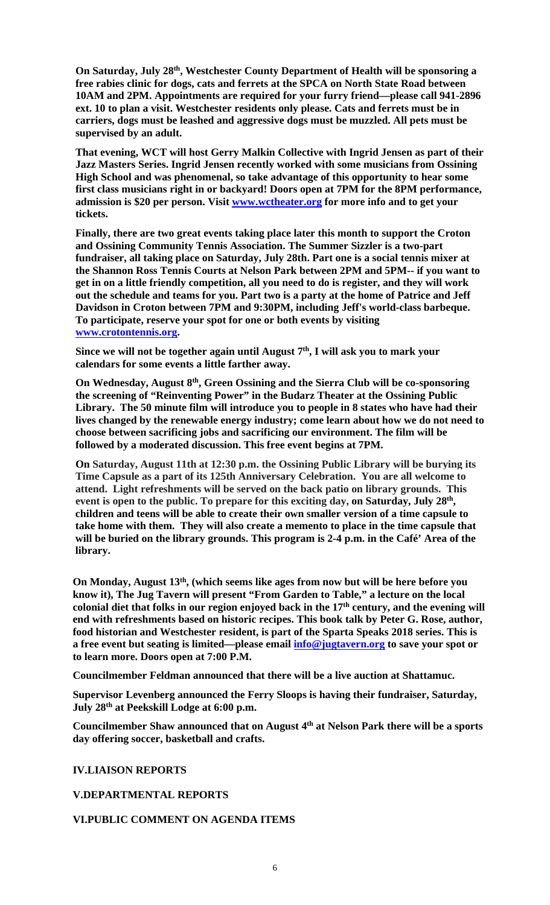**On Saturday, July 28th, Westchester County Department of Health will be sponsoring a free rabies clinic for dogs, cats and ferrets at the SPCA on North State Road between 10AM and 2PM. Appointments are required for your furry friend—please call 941-2896 ext. 10 to plan a visit. Westchester residents only please. Cats and ferrets must be in carriers, dogs must be leashed and aggressive dogs must be muzzled. All pets must be supervised by an adult.** 

**That evening, WCT will host Gerry Malkin Collective with Ingrid Jensen as part of their Jazz Masters Series. Ingrid Jensen recently worked with some musicians from Ossining High School and was phenomenal, so take advantage of this opportunity to hear some first class musicians right in or backyard! Doors open at 7PM for the 8PM performance, admission is \$20 per person. Visit www.wctheater.org for more info and to get your tickets.** 

**Finally, there are two great events taking place later this month to support the Croton and Ossining Community Tennis Association. The Summer Sizzler is a two-part fundraiser, all taking place on Saturday, July 28th. Part one is a social tennis mixer at the Shannon Ross Tennis Courts at Nelson Park between 2PM and 5PM-- if you want to get in on a little friendly competition, all you need to do is register, and they will work out the schedule and teams for you. Part two is a party at the home of Patrice and Jeff Davidson in Croton between 7PM and 9:30PM, including Jeff's world-class barbeque. To participate, reserve your spot for one or both events by visiting www.crotontennis.org.** 

Since we will not be together again until August 7<sup>th</sup>, I will ask you to mark your **calendars for some events a little farther away.** 

**On Wednesday, August 8th, Green Ossining and the Sierra Club will be co-sponsoring the screening of "Reinventing Power" in the Budarz Theater at the Ossining Public Library. The 50 minute film will introduce you to people in 8 states who have had their lives changed by the renewable energy industry; come learn about how we do not need to choose between sacrificing jobs and sacrificing our environment. The film will be followed by a moderated discussion. This free event begins at 7PM.** 

**On Saturday, August 11th at 12:30 p.m. the Ossining Public Library will be burying its Time Capsule as a part of its 125th Anniversary Celebration. You are all welcome to attend. Light refreshments will be served on the back patio on library grounds. This event is open to the public. To prepare for this exciting day, on Saturday, July 28th, children and teens will be able to create their own smaller version of a time capsule to take home with them. They will also create a memento to place in the time capsule that will be buried on the library grounds. This program is 2-4 p.m. in the Café' Area of the library.** 

**On Monday, August 13th, (which seems like ages from now but will be here before you know it), The Jug Tavern will present "From Garden to Table," a lecture on the local**  colonial diet that folks in our region enjoyed back in the 17<sup>th</sup> century, and the evening will **end with refreshments based on historic recipes. This book talk by Peter G. Rose, author, food historian and Westchester resident, is part of the Sparta Speaks 2018 series. This is a free event but seating is limited—please email info@jugtavern.org to save your spot or to learn more. Doors open at 7:00 P.M.** 

**Councilmember Feldman announced that there will be a live auction at Shattamuc.** 

**Supervisor Levenberg announced the Ferry Sloops is having their fundraiser, Saturday, July 28th at Peekskill Lodge at 6:00 p.m.** 

**Councilmember Shaw announced that on August 4th at Nelson Park there will be a sports day offering soccer, basketball and crafts.** 

**IV.LIAISON REPORTS** 

**V.DEPARTMENTAL REPORTS** 

## **VI.PUBLIC COMMENT ON AGENDA ITEMS**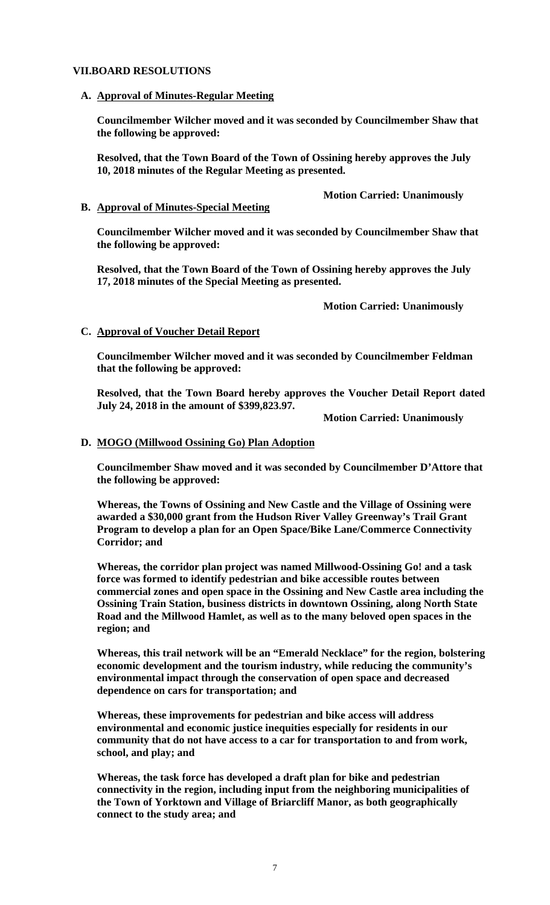## **VII.BOARD RESOLUTIONS**

#### **A. Approval of Minutes-Regular Meeting**

**Councilmember Wilcher moved and it was seconded by Councilmember Shaw that the following be approved:** 

**Resolved, that the Town Board of the Town of Ossining hereby approves the July 10, 2018 minutes of the Regular Meeting as presented.** 

## **B. Approval of Minutes-Special Meeting**

**Councilmember Wilcher moved and it was seconded by Councilmember Shaw that the following be approved:** 

**Resolved, that the Town Board of the Town of Ossining hereby approves the July 17, 2018 minutes of the Special Meeting as presented.** 

 **Motion Carried: Unanimously** 

## **C. Approval of Voucher Detail Report**

**Councilmember Wilcher moved and it was seconded by Councilmember Feldman that the following be approved:** 

**Resolved, that the Town Board hereby approves the Voucher Detail Report dated July 24, 2018 in the amount of \$399,823.97.** 

 **Motion Carried: Unanimously** 

## **D. MOGO (Millwood Ossining Go) Plan Adoption**

**Councilmember Shaw moved and it was seconded by Councilmember D'Attore that the following be approved:** 

**Whereas, the Towns of Ossining and New Castle and the Village of Ossining were awarded a \$30,000 grant from the Hudson River Valley Greenway's Trail Grant Program to develop a plan for an Open Space/Bike Lane/Commerce Connectivity Corridor; and**

**Whereas, the corridor plan project was named Millwood-Ossining Go! and a task force was formed to identify pedestrian and bike accessible routes between commercial zones and open space in the Ossining and New Castle area including the Ossining Train Station, business districts in downtown Ossining, along North State Road and the Millwood Hamlet, as well as to the many beloved open spaces in the region; and**

**Whereas, this trail network will be an "Emerald Necklace" for the region, bolstering economic development and the tourism industry, while reducing the community's environmental impact through the conservation of open space and decreased dependence on cars for transportation; and**

**Whereas, these improvements for pedestrian and bike access will address environmental and economic justice inequities especially for residents in our community that do not have access to a car for transportation to and from work, school, and play; and**

**Whereas, the task force has developed a draft plan for bike and pedestrian connectivity in the region, including input from the neighboring municipalities of the Town of Yorktown and Village of Briarcliff Manor, as both geographically connect to the study area; and**

 **Motion Carried: Unanimously**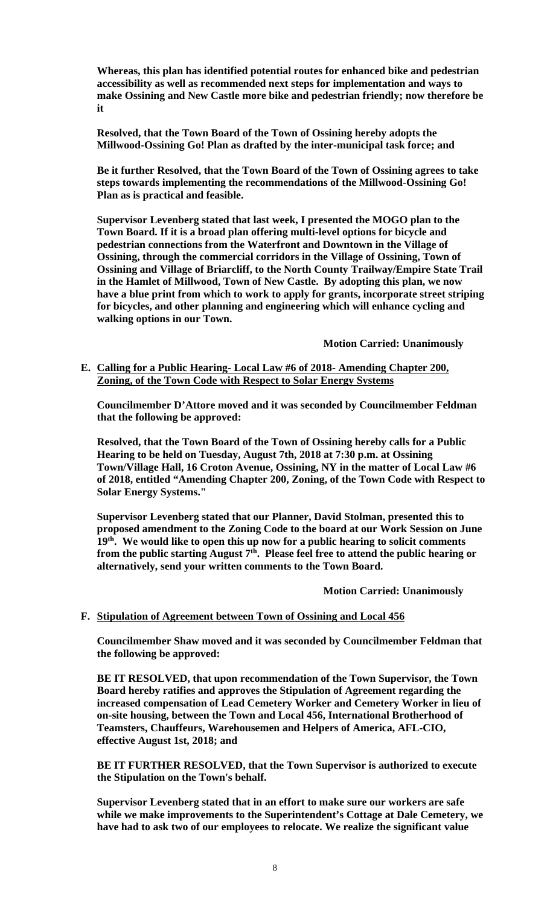**Whereas, this plan has identified potential routes for enhanced bike and pedestrian accessibility as well as recommended next steps for implementation and ways to make Ossining and New Castle more bike and pedestrian friendly; now therefore be it**

**Resolved, that the Town Board of the Town of Ossining hereby adopts the Millwood-Ossining Go! Plan as drafted by the inter-municipal task force; and**

**Be it further Resolved, that the Town Board of the Town of Ossining agrees to take steps towards implementing the recommendations of the Millwood-Ossining Go! Plan as is practical and feasible.** 

**Supervisor Levenberg stated that last week, I presented the MOGO plan to the Town Board. If it is a broad plan offering multi-level options for bicycle and pedestrian connections from the Waterfront and Downtown in the Village of Ossining, through the commercial corridors in the Village of Ossining, Town of Ossining and Village of Briarcliff, to the North County Trailway/Empire State Trail in the Hamlet of Millwood, Town of New Castle. By adopting this plan, we now have a blue print from which to work to apply for grants, incorporate street striping for bicycles, and other planning and engineering which will enhance cycling and walking options in our Town.** 

 **Motion Carried: Unanimously** 

**E. Calling for a Public Hearing- Local Law #6 of 2018- Amending Chapter 200, Zoning, of the Town Code with Respect to Solar Energy Systems**

**Councilmember D'Attore moved and it was seconded by Councilmember Feldman that the following be approved:** 

**Resolved, that the Town Board of the Town of Ossining hereby calls for a Public Hearing to be held on Tuesday, August 7th, 2018 at 7:30 p.m. at Ossining Town/Village Hall, 16 Croton Avenue, Ossining, NY in the matter of Local Law #6 of 2018, entitled "Amending Chapter 200, Zoning, of the Town Code with Respect to Solar Energy Systems."** 

**Supervisor Levenberg stated that our Planner, David Stolman, presented this to proposed amendment to the Zoning Code to the board at our Work Session on June 19th. We would like to open this up now for a public hearing to solicit comments**  from the public starting August 7<sup>th</sup>. Please feel free to attend the public hearing or **alternatively, send your written comments to the Town Board.** 

 **Motion Carried: Unanimously** 

#### **F. Stipulation of Agreement between Town of Ossining and Local 456**

**Councilmember Shaw moved and it was seconded by Councilmember Feldman that the following be approved:** 

**BE IT RESOLVED, that upon recommendation of the Town Supervisor, the Town Board hereby ratifies and approves the Stipulation of Agreement regarding the increased compensation of Lead Cemetery Worker and Cemetery Worker in lieu of on-site housing, between the Town and Local 456, International Brotherhood of Teamsters, Chauffeurs, Warehousemen and Helpers of America, AFL-CIO, effective August 1st, 2018; and**

**BE IT FURTHER RESOLVED, that the Town Supervisor is authorized to execute the Stipulation on the Town's behalf.** 

**Supervisor Levenberg stated that in an effort to make sure our workers are safe while we make improvements to the Superintendent's Cottage at Dale Cemetery, we have had to ask two of our employees to relocate. We realize the significant value**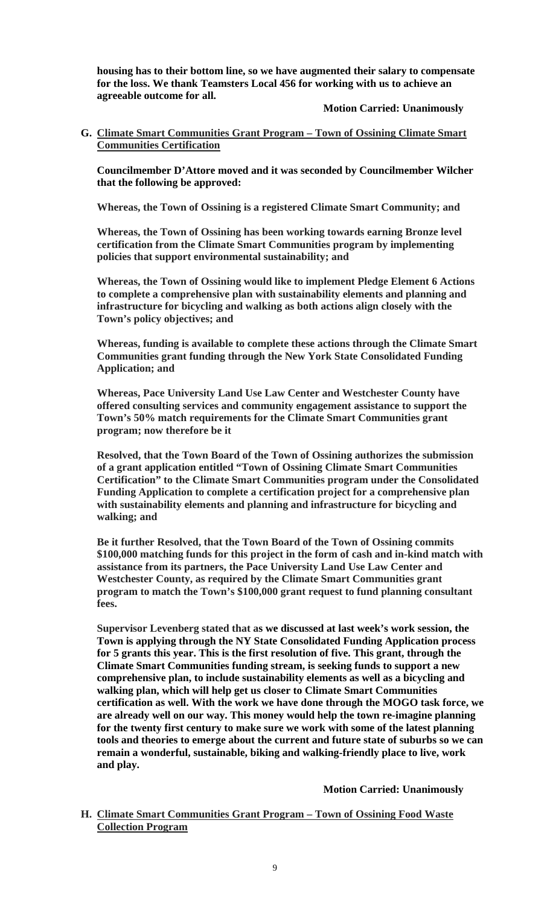**housing has to their bottom line, so we have augmented their salary to compensate for the loss. We thank Teamsters Local 456 for working with us to achieve an agreeable outcome for all.** 

#### **Motion Carried: Unanimously**

**G. Climate Smart Communities Grant Program – Town of Ossining Climate Smart Communities Certification**

**Councilmember D'Attore moved and it was seconded by Councilmember Wilcher that the following be approved:** 

**Whereas, the Town of Ossining is a registered Climate Smart Community; and**

**Whereas, the Town of Ossining has been working towards earning Bronze level certification from the Climate Smart Communities program by implementing policies that support environmental sustainability; and**

**Whereas, the Town of Ossining would like to implement Pledge Element 6 Actions to complete a comprehensive plan with sustainability elements and planning and infrastructure for bicycling and walking as both actions align closely with the Town's policy objectives; and**

**Whereas, funding is available to complete these actions through the Climate Smart Communities grant funding through the New York State Consolidated Funding Application; and**

**Whereas, Pace University Land Use Law Center and Westchester County have offered consulting services and community engagement assistance to support the Town's 50% match requirements for the Climate Smart Communities grant program; now therefore be it**

**Resolved, that the Town Board of the Town of Ossining authorizes the submission of a grant application entitled "Town of Ossining Climate Smart Communities Certification" to the Climate Smart Communities program under the Consolidated Funding Application to complete a certification project for a comprehensive plan with sustainability elements and planning and infrastructure for bicycling and walking; and**

**Be it further Resolved, that the Town Board of the Town of Ossining commits \$100,000 matching funds for this project in the form of cash and in-kind match with assistance from its partners, the Pace University Land Use Law Center and Westchester County, as required by the Climate Smart Communities grant program to match the Town's \$100,000 grant request to fund planning consultant fees.** 

**Supervisor Levenberg stated that as we discussed at last week's work session, the Town is applying through the NY State Consolidated Funding Application process for 5 grants this year. This is the first resolution of five. This grant, through the Climate Smart Communities funding stream, is seeking funds to support a new comprehensive plan, to include sustainability elements as well as a bicycling and walking plan, which will help get us closer to Climate Smart Communities certification as well. With the work we have done through the MOGO task force, we are already well on our way. This money would help the town re-imagine planning for the twenty first century to make sure we work with some of the latest planning tools and theories to emerge about the current and future state of suburbs so we can remain a wonderful, sustainable, biking and walking-friendly place to live, work and play.** 

 **Motion Carried: Unanimously** 

**H. Climate Smart Communities Grant Program – Town of Ossining Food Waste Collection Program**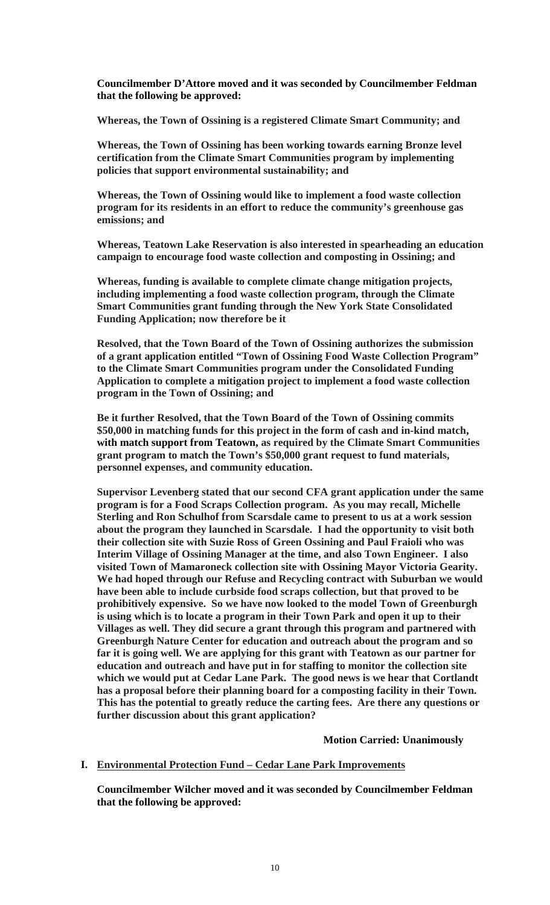**Councilmember D'Attore moved and it was seconded by Councilmember Feldman that the following be approved:** 

**Whereas, the Town of Ossining is a registered Climate Smart Community; and** 

**Whereas, the Town of Ossining has been working towards earning Bronze level certification from the Climate Smart Communities program by implementing policies that support environmental sustainability; and** 

**Whereas, the Town of Ossining would like to implement a food waste collection program for its residents in an effort to reduce the community's greenhouse gas emissions; and** 

**Whereas, Teatown Lake Reservation is also interested in spearheading an education campaign to encourage food waste collection and composting in Ossining; and** 

**Whereas, funding is available to complete climate change mitigation projects, including implementing a food waste collection program, through the Climate Smart Communities grant funding through the New York State Consolidated Funding Application; now therefore be it** 

**Resolved, that the Town Board of the Town of Ossining authorizes the submission of a grant application entitled "Town of Ossining Food Waste Collection Program" to the Climate Smart Communities program under the Consolidated Funding Application to complete a mitigation project to implement a food waste collection program in the Town of Ossining; and** 

**Be it further Resolved, that the Town Board of the Town of Ossining commits \$50,000 in matching funds for this project in the form of cash and in-kind match, with match support from Teatown, as required by the Climate Smart Communities grant program to match the Town's \$50,000 grant request to fund materials, personnel expenses, and community education.** 

**Supervisor Levenberg stated that our second CFA grant application under the same program is for a Food Scraps Collection program. As you may recall, Michelle Sterling and Ron Schulhof from Scarsdale came to present to us at a work session about the program they launched in Scarsdale. I had the opportunity to visit both their collection site with Suzie Ross of Green Ossining and Paul Fraioli who was Interim Village of Ossining Manager at the time, and also Town Engineer. I also visited Town of Mamaroneck collection site with Ossining Mayor Victoria Gearity. We had hoped through our Refuse and Recycling contract with Suburban we would have been able to include curbside food scraps collection, but that proved to be prohibitively expensive. So we have now looked to the model Town of Greenburgh is using which is to locate a program in their Town Park and open it up to their Villages as well. They did secure a grant through this program and partnered with Greenburgh Nature Center for education and outreach about the program and so far it is going well. We are applying for this grant with Teatown as our partner for education and outreach and have put in for staffing to monitor the collection site which we would put at Cedar Lane Park. The good news is we hear that Cortlandt has a proposal before their planning board for a composting facility in their Town. This has the potential to greatly reduce the carting fees. Are there any questions or further discussion about this grant application?** 

#### **Motion Carried: Unanimously**

#### **I. Environmental Protection Fund – Cedar Lane Park Improvements**

**Councilmember Wilcher moved and it was seconded by Councilmember Feldman that the following be approved:**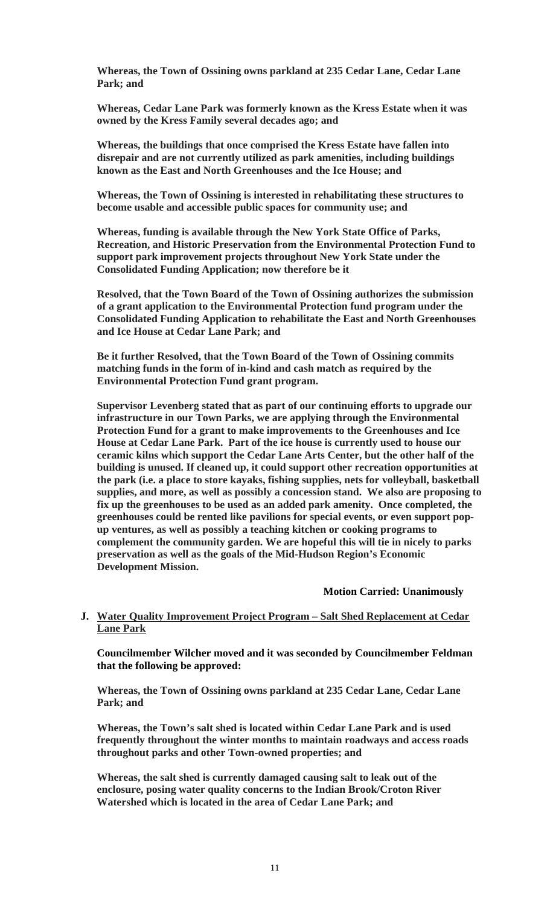**Whereas, the Town of Ossining owns parkland at 235 Cedar Lane, Cedar Lane Park; and**

**Whereas, Cedar Lane Park was formerly known as the Kress Estate when it was owned by the Kress Family several decades ago; and**

**Whereas, the buildings that once comprised the Kress Estate have fallen into disrepair and are not currently utilized as park amenities, including buildings known as the East and North Greenhouses and the Ice House; and**

**Whereas, the Town of Ossining is interested in rehabilitating these structures to become usable and accessible public spaces for community use; and**

**Whereas, funding is available through the New York State Office of Parks, Recreation, and Historic Preservation from the Environmental Protection Fund to support park improvement projects throughout New York State under the Consolidated Funding Application; now therefore be it**

**Resolved, that the Town Board of the Town of Ossining authorizes the submission of a grant application to the Environmental Protection fund program under the Consolidated Funding Application to rehabilitate the East and North Greenhouses and Ice House at Cedar Lane Park; and**

**Be it further Resolved, that the Town Board of the Town of Ossining commits matching funds in the form of in-kind and cash match as required by the Environmental Protection Fund grant program.** 

**Supervisor Levenberg stated that as part of our continuing efforts to upgrade our infrastructure in our Town Parks, we are applying through the Environmental Protection Fund for a grant to make improvements to the Greenhouses and Ice House at Cedar Lane Park. Part of the ice house is currently used to house our ceramic kilns which support the Cedar Lane Arts Center, but the other half of the building is unused. If cleaned up, it could support other recreation opportunities at the park (i.e. a place to store kayaks, fishing supplies, nets for volleyball, basketball supplies, and more, as well as possibly a concession stand. We also are proposing to fix up the greenhouses to be used as an added park amenity. Once completed, the greenhouses could be rented like pavilions for special events, or even support popup ventures, as well as possibly a teaching kitchen or cooking programs to complement the community garden. We are hopeful this will tie in nicely to parks preservation as well as the goals of the Mid-Hudson Region's Economic Development Mission.** 

#### **Motion Carried: Unanimously**

## **J. Water Quality Improvement Project Program – Salt Shed Replacement at Cedar Lane Park**

**Councilmember Wilcher moved and it was seconded by Councilmember Feldman that the following be approved:** 

**Whereas, the Town of Ossining owns parkland at 235 Cedar Lane, Cedar Lane Park; and**

**Whereas, the Town's salt shed is located within Cedar Lane Park and is used frequently throughout the winter months to maintain roadways and access roads throughout parks and other Town-owned properties; and**

**Whereas, the salt shed is currently damaged causing salt to leak out of the enclosure, posing water quality concerns to the Indian Brook/Croton River Watershed which is located in the area of Cedar Lane Park; and**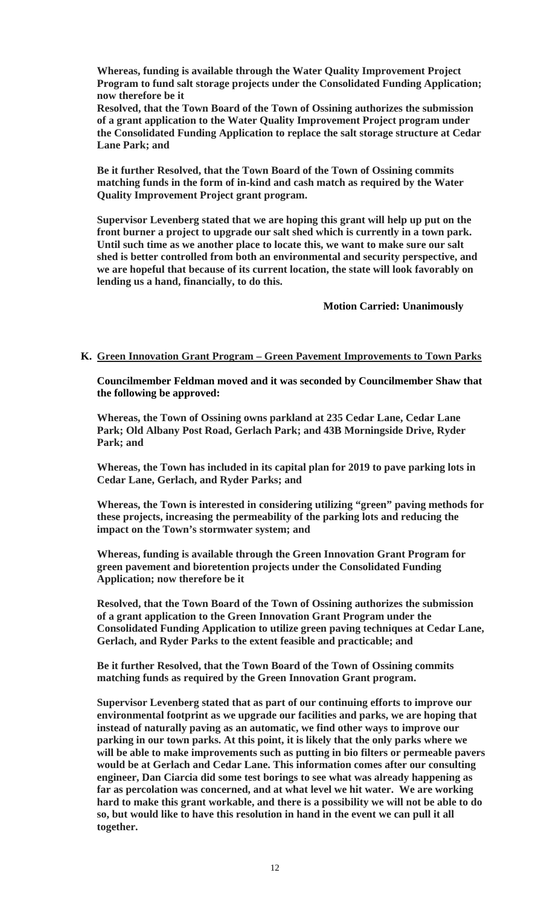**Whereas, funding is available through the Water Quality Improvement Project Program to fund salt storage projects under the Consolidated Funding Application; now therefore be it**

**Resolved, that the Town Board of the Town of Ossining authorizes the submission of a grant application to the Water Quality Improvement Project program under the Consolidated Funding Application to replace the salt storage structure at Cedar Lane Park; and**

**Be it further Resolved, that the Town Board of the Town of Ossining commits matching funds in the form of in-kind and cash match as required by the Water Quality Improvement Project grant program.** 

**Supervisor Levenberg stated that we are hoping this grant will help up put on the front burner a project to upgrade our salt shed which is currently in a town park. Until such time as we another place to locate this, we want to make sure our salt shed is better controlled from both an environmental and security perspective, and we are hopeful that because of its current location, the state will look favorably on lending us a hand, financially, to do this.** 

 **Motion Carried: Unanimously** 

#### **K. Green Innovation Grant Program – Green Pavement Improvements to Town Parks**

**Councilmember Feldman moved and it was seconded by Councilmember Shaw that the following be approved:** 

**Whereas, the Town of Ossining owns parkland at 235 Cedar Lane, Cedar Lane Park; Old Albany Post Road, Gerlach Park; and 43B Morningside Drive, Ryder Park; and**

**Whereas, the Town has included in its capital plan for 2019 to pave parking lots in Cedar Lane, Gerlach, and Ryder Parks; and**

**Whereas, the Town is interested in considering utilizing "green" paving methods for these projects, increasing the permeability of the parking lots and reducing the impact on the Town's stormwater system; and**

**Whereas, funding is available through the Green Innovation Grant Program for green pavement and bioretention projects under the Consolidated Funding Application; now therefore be it**

**Resolved, that the Town Board of the Town of Ossining authorizes the submission of a grant application to the Green Innovation Grant Program under the Consolidated Funding Application to utilize green paving techniques at Cedar Lane, Gerlach, and Ryder Parks to the extent feasible and practicable; and**

**Be it further Resolved, that the Town Board of the Town of Ossining commits matching funds as required by the Green Innovation Grant program.** 

**Supervisor Levenberg stated that as part of our continuing efforts to improve our environmental footprint as we upgrade our facilities and parks, we are hoping that instead of naturally paving as an automatic, we find other ways to improve our parking in our town parks. At this point, it is likely that the only parks where we will be able to make improvements such as putting in bio filters or permeable pavers would be at Gerlach and Cedar Lane. This information comes after our consulting engineer, Dan Ciarcia did some test borings to see what was already happening as far as percolation was concerned, and at what level we hit water. We are working hard to make this grant workable, and there is a possibility we will not be able to do so, but would like to have this resolution in hand in the event we can pull it all together.**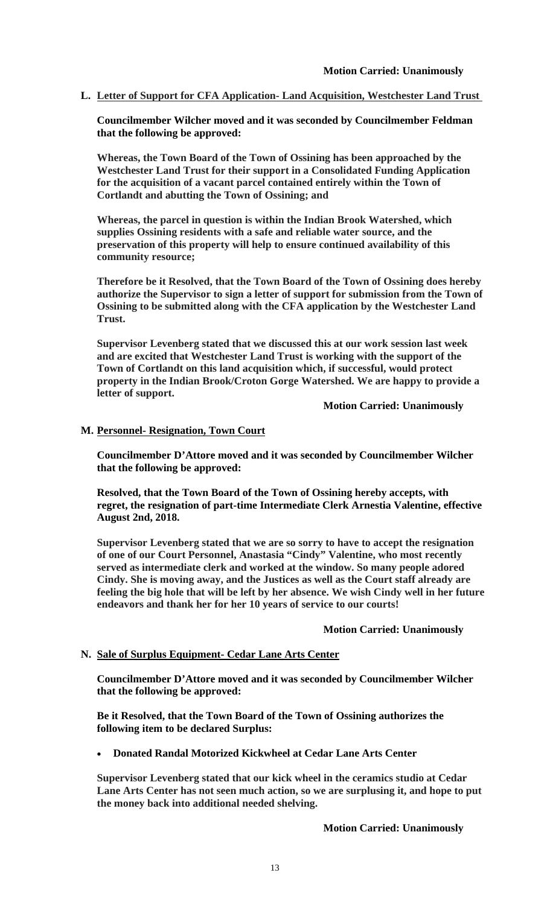**L. Letter of Support for CFA Application- Land Acquisition, Westchester Land Trust** 

**Councilmember Wilcher moved and it was seconded by Councilmember Feldman that the following be approved:** 

**Whereas, the Town Board of the Town of Ossining has been approached by the Westchester Land Trust for their support in a Consolidated Funding Application for the acquisition of a vacant parcel contained entirely within the Town of Cortlandt and abutting the Town of Ossining; and**

**Whereas, the parcel in question is within the Indian Brook Watershed, which supplies Ossining residents with a safe and reliable water source, and the preservation of this property will help to ensure continued availability of this community resource;** 

**Therefore be it Resolved, that the Town Board of the Town of Ossining does hereby authorize the Supervisor to sign a letter of support for submission from the Town of Ossining to be submitted along with the CFA application by the Westchester Land Trust.** 

**Supervisor Levenberg stated that we discussed this at our work session last week and are excited that Westchester Land Trust is working with the support of the Town of Cortlandt on this land acquisition which, if successful, would protect property in the Indian Brook/Croton Gorge Watershed. We are happy to provide a letter of support.** 

 **Motion Carried: Unanimously** 

#### **M. Personnel- Resignation, Town Court**

**Councilmember D'Attore moved and it was seconded by Councilmember Wilcher that the following be approved:** 

**Resolved, that the Town Board of the Town of Ossining hereby accepts, with regret, the resignation of part-time Intermediate Clerk Arnestia Valentine, effective August 2nd, 2018.** 

**Supervisor Levenberg stated that we are so sorry to have to accept the resignation of one of our Court Personnel, Anastasia "Cindy" Valentine, who most recently served as intermediate clerk and worked at the window. So many people adored Cindy. She is moving away, and the Justices as well as the Court staff already are feeling the big hole that will be left by her absence. We wish Cindy well in her future endeavors and thank her for her 10 years of service to our courts!** 

#### **Motion Carried: Unanimously**

#### **N. Sale of Surplus Equipment- Cedar Lane Arts Center**

**Councilmember D'Attore moved and it was seconded by Councilmember Wilcher that the following be approved:** 

**Be it Resolved, that the Town Board of the Town of Ossining authorizes the following item to be declared Surplus:**

**Donated Randal Motorized Kickwheel at Cedar Lane Arts Center**

**Supervisor Levenberg stated that our kick wheel in the ceramics studio at Cedar Lane Arts Center has not seen much action, so we are surplusing it, and hope to put the money back into additional needed shelving.** 

 **Motion Carried: Unanimously**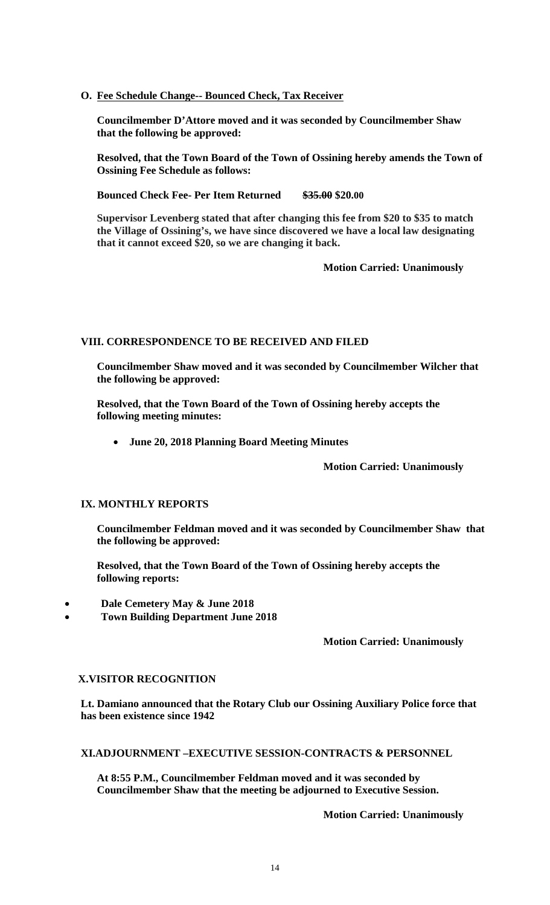## **O. Fee Schedule Change-- Bounced Check, Tax Receiver**

**Councilmember D'Attore moved and it was seconded by Councilmember Shaw that the following be approved:** 

**Resolved, that the Town Board of the Town of Ossining hereby amends the Town of Ossining Fee Schedule as follows:**

**Bounced Check Fee- Per Item Returned \$35.00 \$20.00** 

**Supervisor Levenberg stated that after changing this fee from \$20 to \$35 to match the Village of Ossining's, we have since discovered we have a local law designating that it cannot exceed \$20, so we are changing it back.** 

 **Motion Carried: Unanimously** 

## **VIII. CORRESPONDENCE TO BE RECEIVED AND FILED**

**Councilmember Shaw moved and it was seconded by Councilmember Wilcher that the following be approved:** 

**Resolved, that the Town Board of the Town of Ossining hereby accepts the following meeting minutes:** 

**June 20, 2018 Planning Board Meeting Minutes** 

 **Motion Carried: Unanimously** 

## **IX. MONTHLY REPORTS**

**Councilmember Feldman moved and it was seconded by Councilmember Shaw that the following be approved:** 

**Resolved, that the Town Board of the Town of Ossining hereby accepts the following reports:** 

- **Dale Cemetery May & June 2018**
- **Town Building Department June 2018**

**Motion Carried: Unanimously** 

#### **X.VISITOR RECOGNITION**

**Lt. Damiano announced that the Rotary Club our Ossining Auxiliary Police force that has been existence since 1942** 

**XI.ADJOURNMENT –EXECUTIVE SESSION-CONTRACTS & PERSONNEL** 

**At 8:55 P.M., Councilmember Feldman moved and it was seconded by Councilmember Shaw that the meeting be adjourned to Executive Session.** 

**Motion Carried: Unanimously**